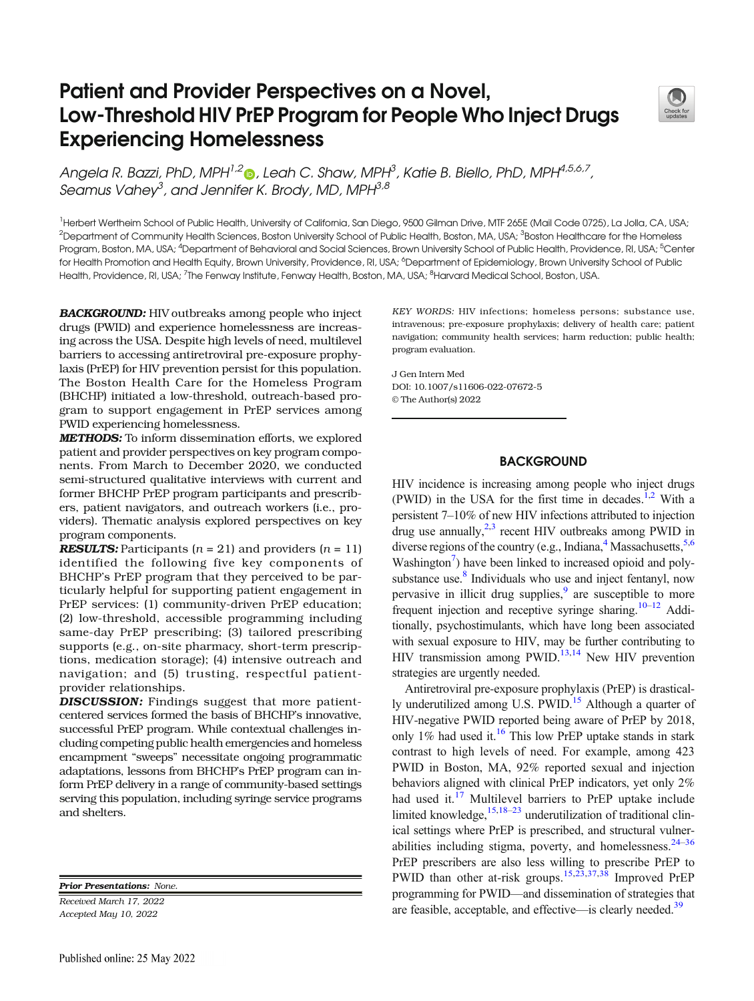# Patient and Provider Perspectives on a Novel, Low-Threshold HIV PrEP Program for People Who Inject Drugs Experiencing Homelessness



Angela R. Bazzi[,](http://orcid.org/0000-0001-6828-1919) PhD, MPH<sup>1,2</sup>®, Leah C. Shaw, MPH<sup>3</sup>, Katie B. Biello, PhD, MPH<sup>4,5,6,7</sup>, Seamus Vahey<sup>3</sup>, and Jennifer K. Brody, MD, MPH<sup>3,8</sup>

<sup>1</sup>Herbert Wertheim School of Public Health, University of California, San Diego, 9500 Gilman Drive, MTF 265E (Mail Code 0725), La Jolla, CA, USA;  $^2$ Department of Community Health Sciences, Boston University School of Public Health, Boston, MA, USA;  $^3$ Boston Healthcare for the Homeless Program, Boston, MA, USA; <sup>4</sup>Department of Behavioral and Social Sciences, Brown University School of Public Health, Providence, RI, USA; <sup>5</sup>Center for Health Promotion and Health Equity, Brown University, Providence, RI, USA; <sup>6</sup>Department of Epidemiology, Brown University School of Public Health, Providence, RI, USA; <sup>7</sup>The Fenway Institute, Fenway Health, Boston, MA, USA; <sup>8</sup>Harvard Medical School, Boston, USA.

BACKGROUND: HIV outbreaks among people who inject drugs (PWID) and experience homelessness are increasing across the USA. Despite high levels of need, multilevel barriers to accessing antiretroviral pre-exposure prophylaxis (PrEP) for HIV prevention persist for this population. The Boston Health Care for the Homeless Program (BHCHP) initiated a low-threshold, outreach-based program to support engagement in PrEP services among PWID experiencing homelessness.

METHODS: To inform dissemination efforts, we explored patient and provider perspectives on key program components. From March to December 2020, we conducted semi-structured qualitative interviews with current and former BHCHP PrEP program participants and prescribers, patient navigators, and outreach workers (i.e., providers). Thematic analysis explored perspectives on key program components.

**RESULTS:** Participants  $(n = 21)$  and providers  $(n = 11)$ identified the following five key components of BHCHP's PrEP program that they perceived to be particularly helpful for supporting patient engagement in PrEP services: (1) community-driven PrEP education; (2) low-threshold, accessible programming including same-day PrEP prescribing; (3) tailored prescribing supports (e.g., on-site pharmacy, short-term prescriptions, medication storage); (4) intensive outreach and navigation; and (5) trusting, respectful patientprovider relationships.

DISCUSSION: Findings suggest that more patientcentered services formed the basis of BHCHP's innovative, successful PrEP program. While contextual challenges including competing public health emergencies and homeless encampment "sweeps" necessitate ongoing programmatic adaptations, lessons from BHCHP's PrEP program can inform PrEP delivery in a range of community-based settings serving this population, including syringe service programs and shelters.

Prior Presentations: None.

Received March 17, 2022 Accepted May 10, 2022

KEY WORDS: HIV infections; homeless persons; substance use, intravenous; pre-exposure prophylaxis; delivery of health care; patient navigation; community health services; harm reduction; public health; program evaluation.

J Gen Intern Med DOI: 10.1007/s11606-022-07672-5 © The Author(s) 2022

## **BACKGROUND**

HIV incidence is increasing among people who inject drugs (PWID) in the USA for the first time in decades.<sup>[1,2](#page-6-0)</sup> With a persistent 7–10% of new HIV infections attributed to injection drug use annually, $2,3$  recent HIV outbreaks among PWID in diverse regions of the country (e.g., Indiana,  $4$  Massachusetts,  $5,6$ Washington<sup>7</sup>) have been linked to increased opioid and polysubstance use. $8$  Individuals who use and inject fentanyl, now pervasive in illicit drug supplies,<sup>9</sup> are susceptible to more frequent injection and receptive syringe sharing.<sup>10–[12](#page-7-0)</sup> Additionally, psychostimulants, which have long been associated with sexual exposure to HIV, may be further contributing to HIV transmission among PWID.[13,14](#page-7-0) New HIV prevention strategies are urgently needed.

Antiretroviral pre-exposure prophylaxis (PrEP) is drastically underutilized among U.S. PWID.<sup>15</sup> Although a quarter of HIV-negative PWID reported being aware of PrEP by 2018, only  $1\%$  had used it.<sup>16</sup> This low PrEP uptake stands in stark contrast to high levels of need. For example, among 423 PWID in Boston, MA, 92% reported sexual and injection behaviors aligned with clinical PrEP indicators, yet only 2% had used it.<sup>[17](#page-7-0)</sup> Multilevel barriers to PrEP uptake include limited knowledge, $15,18-23$  $15,18-23$  $15,18-23$  $15,18-23$  $15,18-23$  underutilization of traditional clinical settings where PrEP is prescribed, and structural vulnerabilities including stigma, poverty, and homelessness. $24-36$  $24-36$ PrEP prescribers are also less willing to prescribe PrEP to PWID than other at-risk groups.<sup>15,23,37,38</sup> Improved PrEP programming for PWID—and dissemination of strategies that are feasible, acceptable, and effective—is clearly needed[.39](#page-7-0)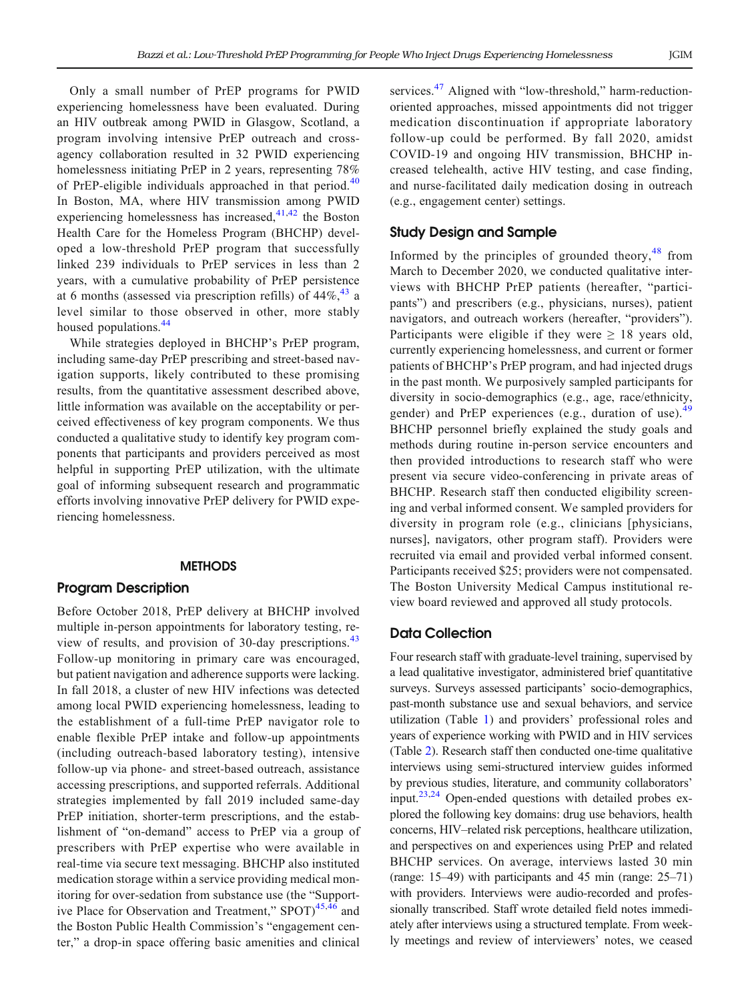Only a small number of PrEP programs for PWID experiencing homelessness have been evaluated. During an HIV outbreak among PWID in Glasgow, Scotland, a program involving intensive PrEP outreach and crossagency collaboration resulted in 32 PWID experiencing homelessness initiating PrEP in 2 years, representing 78% of PrEP-eligible individuals approached in that period.<sup>[40](#page-7-0)</sup> In Boston, MA, where HIV transmission among PWID experiencing homelessness has increased, $41,42$  the Boston Health Care for the Homeless Program (BHCHP) developed a low-threshold PrEP program that successfully linked 239 individuals to PrEP services in less than 2 years, with a cumulative probability of PrEP persistence at 6 months (assessed via prescription refills) of  $44\%$ ,  $43$  a level similar to those observed in other, more stably housed populations.<sup>[44](#page-7-0)</sup>

While strategies deployed in BHCHP's PrEP program, including same-day PrEP prescribing and street-based navigation supports, likely contributed to these promising results, from the quantitative assessment described above, little information was available on the acceptability or perceived effectiveness of key program components. We thus conducted a qualitative study to identify key program components that participants and providers perceived as most helpful in supporting PrEP utilization, with the ultimate goal of informing subsequent research and programmatic efforts involving innovative PrEP delivery for PWID experiencing homelessness.

### **METHODS**

## Program Description

Before October 2018, PrEP delivery at BHCHP involved multiple in-person appointments for laboratory testing, re-view of results, and provision of 30-day prescriptions.<sup>[43](#page-7-0)</sup> Follow-up monitoring in primary care was encouraged, but patient navigation and adherence supports were lacking. In fall 2018, a cluster of new HIV infections was detected among local PWID experiencing homelessness, leading to the establishment of a full-time PrEP navigator role to enable flexible PrEP intake and follow-up appointments (including outreach-based laboratory testing), intensive follow-up via phone- and street-based outreach, assistance accessing prescriptions, and supported referrals. Additional strategies implemented by fall 2019 included same-day PrEP initiation, shorter-term prescriptions, and the establishment of "on-demand" access to PrEP via a group of prescribers with PrEP expertise who were available in real-time via secure text messaging. BHCHP also instituted medication storage within a service providing medical monitoring for over-sedation from substance use (the "Support-ive Place for Observation and Treatment," SPOT)<sup>[45,46](#page-7-0)</sup> and the Boston Public Health Commission's "engagement center," a drop-in space offering basic amenities and clinical services.<sup>[47](#page-8-0)</sup> Aligned with "low-threshold," harm-reductionoriented approaches, missed appointments did not trigger medication discontinuation if appropriate laboratory follow-up could be performed. By fall 2020, amidst COVID-19 and ongoing HIV transmission, BHCHP increased telehealth, active HIV testing, and case finding, and nurse-facilitated daily medication dosing in outreach (e.g., engagement center) settings.

## Study Design and Sample

Informed by the principles of grounded theory, $48$  from March to December 2020, we conducted qualitative interviews with BHCHP PrEP patients (hereafter, "participants") and prescribers (e.g., physicians, nurses), patient navigators, and outreach workers (hereafter, "providers"). Participants were eligible if they were  $\geq 18$  years old, currently experiencing homelessness, and current or former patients of BHCHP's PrEP program, and had injected drugs in the past month. We purposively sampled participants for diversity in socio-demographics (e.g., age, race/ethnicity, gender) and PrEP experiences (e.g., duration of use).<sup>[49](#page-8-0)</sup> BHCHP personnel briefly explained the study goals and methods during routine in-person service encounters and then provided introductions to research staff who were present via secure video-conferencing in private areas of BHCHP. Research staff then conducted eligibility screening and verbal informed consent. We sampled providers for diversity in program role (e.g., clinicians [physicians, nurses], navigators, other program staff). Providers were recruited via email and provided verbal informed consent. Participants received \$25; providers were not compensated. The Boston University Medical Campus institutional review board reviewed and approved all study protocols.

## Data Collection

Four research staff with graduate-level training, supervised by a lead qualitative investigator, administered brief quantitative surveys. Surveys assessed participants' socio-demographics, past-month substance use and sexual behaviors, and service utilization (Table [1\)](#page-2-0) and providers' professional roles and years of experience working with PWID and in HIV services (Table [2\)](#page-2-0). Research staff then conducted one-time qualitative interviews using semi-structured interview guides informed by previous studies, literature, and community collaborators' input. $^{23,24}$  $^{23,24}$  $^{23,24}$  Open-ended questions with detailed probes explored the following key domains: drug use behaviors, health concerns, HIV–related risk perceptions, healthcare utilization, and perspectives on and experiences using PrEP and related BHCHP services. On average, interviews lasted 30 min (range: 15–49) with participants and 45 min (range: 25–71) with providers. Interviews were audio-recorded and professionally transcribed. Staff wrote detailed field notes immediately after interviews using a structured template. From weekly meetings and review of interviewers' notes, we ceased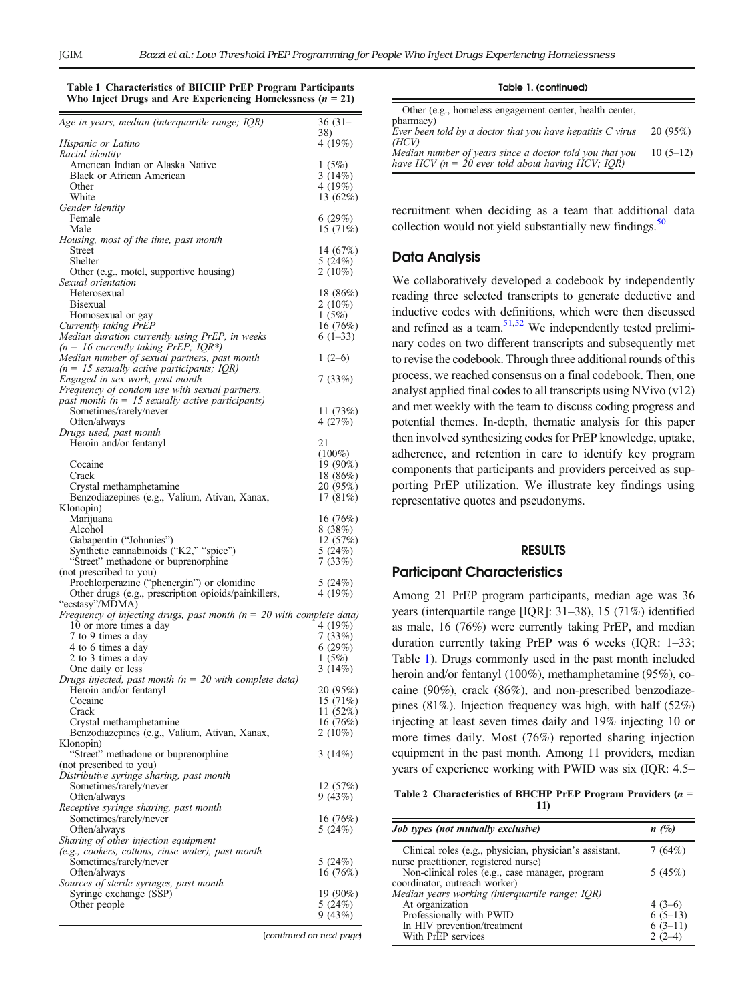<span id="page-2-0"></span>

| Table 1 Characteristics of BHCHP PrEP Program Participants    |  |  |
|---------------------------------------------------------------|--|--|
| Who Inject Drugs and Are Experiencing Homelessness $(n = 21)$ |  |  |

| 4 (19%)<br>Racial identity<br>American Indian or Alaska Native<br>1(5%)<br>Black or African American<br>3 $(14%)$<br>Other<br>4 (19%)<br>White<br>13 $(62\%)$<br>Female<br>6(29%)<br>Male<br>15(71%)<br>14 $(67%)$<br><b>Street</b><br>Shelter<br>5(24%)<br>$2(10\%)$<br>Other (e.g., motel, supportive housing)<br>Sexual orientation<br>Heterosexual<br>18(86%)<br><b>Bisexual</b><br>$2(10\%)$<br>1(5%)<br>Homosexual or gay<br>Currently taking PrEP<br>16(76%)<br>$6(1-33)$<br>Median number of sexual partners, past month<br>$1(2-6)$<br>$(n = 15$ sexually active participants; IQR)<br>7(33%)<br>Frequency of condom use with sexual partners,<br>Sometimes/rarely/never<br>11(73%)<br>Often/always<br>4(27%)<br>Drugs used, past month<br>Heroin and/or fentanyl<br>21<br>$(100\%)$<br>Cocaine<br>19 (90%)<br>Crack<br>18 (86%)<br>20 (95%)<br>Crystal methamphetamine<br>Benzodiazepines (e.g., Valium, Ativan, Xanax,<br>17(81%)<br>Marijuana<br>16(76%)<br>8(38%)<br>Alcohol<br>Gabapentin ("Johnnies")<br>12(57%)<br>Synthetic cannabinoids ("K2," "spice")<br>5(24%)<br>"Street" methadone or buprenorphine<br>7(33%)<br>Prochlorperazine ("phenergin") or clonidine<br>5(24%)<br>Other drugs (e.g., prescription opioids/painkillers,<br>4(19%)<br>"ecstasy"/MDMA)<br>Frequency of injecting drugs, past month ( $n = 20$ with complete data)<br>10 or more times a day<br>4 (19%)<br>7(33%)<br>7 to 9 times a day<br>4 to 6 times a day<br>6(29%)<br>2 to 3 times a day<br>1(5%)<br>3(14%)<br>One daily or less<br>20 (95%)<br>Heroin and/or fentanyl<br>15 (71%)<br>Cocaine<br>11(52%)<br>Crack<br>Crystal methamphetamine<br>16(76%)<br>Benzodiazepines (e.g., Valium, Ativan, Xanax,<br>$2(10\%)$<br>"Street" methadone or buprenorphine<br>3 $(14%)$<br>(not prescribed to you)<br>Sometimes/rarely/never<br>12(57%)<br>9(43%)<br>Often/always<br>Sometimes/rarely/never<br>16(76%)<br>Often/always<br>5(24%)<br>(e.g., cookers, cottons, rinse water), past month<br>Sometimes/rarely/never<br>5(24%)<br>16(76%)<br>Often/always<br>Syringe exchange (SSP)<br>19 (90%)<br>Other people<br>5(24%)<br>9(43%) | Age in years, median (interquartile range; IQR)           | $36(31 -$ |
|----------------------------------------------------------------------------------------------------------------------------------------------------------------------------------------------------------------------------------------------------------------------------------------------------------------------------------------------------------------------------------------------------------------------------------------------------------------------------------------------------------------------------------------------------------------------------------------------------------------------------------------------------------------------------------------------------------------------------------------------------------------------------------------------------------------------------------------------------------------------------------------------------------------------------------------------------------------------------------------------------------------------------------------------------------------------------------------------------------------------------------------------------------------------------------------------------------------------------------------------------------------------------------------------------------------------------------------------------------------------------------------------------------------------------------------------------------------------------------------------------------------------------------------------------------------------------------------------------------------------------------------------------------------------------------------------------------------------------------------------------------------------------------------------------------------------------------------------------------------------------------------------------------------------------------------------------------------------------------------------------------------------------------------------------------------------------------------------------------------------------------|-----------------------------------------------------------|-----------|
|                                                                                                                                                                                                                                                                                                                                                                                                                                                                                                                                                                                                                                                                                                                                                                                                                                                                                                                                                                                                                                                                                                                                                                                                                                                                                                                                                                                                                                                                                                                                                                                                                                                                                                                                                                                                                                                                                                                                                                                                                                                                                                                                  | Hispanic or Latino                                        | 38)       |
|                                                                                                                                                                                                                                                                                                                                                                                                                                                                                                                                                                                                                                                                                                                                                                                                                                                                                                                                                                                                                                                                                                                                                                                                                                                                                                                                                                                                                                                                                                                                                                                                                                                                                                                                                                                                                                                                                                                                                                                                                                                                                                                                  |                                                           |           |
|                                                                                                                                                                                                                                                                                                                                                                                                                                                                                                                                                                                                                                                                                                                                                                                                                                                                                                                                                                                                                                                                                                                                                                                                                                                                                                                                                                                                                                                                                                                                                                                                                                                                                                                                                                                                                                                                                                                                                                                                                                                                                                                                  |                                                           |           |
|                                                                                                                                                                                                                                                                                                                                                                                                                                                                                                                                                                                                                                                                                                                                                                                                                                                                                                                                                                                                                                                                                                                                                                                                                                                                                                                                                                                                                                                                                                                                                                                                                                                                                                                                                                                                                                                                                                                                                                                                                                                                                                                                  |                                                           |           |
|                                                                                                                                                                                                                                                                                                                                                                                                                                                                                                                                                                                                                                                                                                                                                                                                                                                                                                                                                                                                                                                                                                                                                                                                                                                                                                                                                                                                                                                                                                                                                                                                                                                                                                                                                                                                                                                                                                                                                                                                                                                                                                                                  | Gender identity                                           |           |
|                                                                                                                                                                                                                                                                                                                                                                                                                                                                                                                                                                                                                                                                                                                                                                                                                                                                                                                                                                                                                                                                                                                                                                                                                                                                                                                                                                                                                                                                                                                                                                                                                                                                                                                                                                                                                                                                                                                                                                                                                                                                                                                                  |                                                           |           |
|                                                                                                                                                                                                                                                                                                                                                                                                                                                                                                                                                                                                                                                                                                                                                                                                                                                                                                                                                                                                                                                                                                                                                                                                                                                                                                                                                                                                                                                                                                                                                                                                                                                                                                                                                                                                                                                                                                                                                                                                                                                                                                                                  | Housing, most of the time, past month                     |           |
|                                                                                                                                                                                                                                                                                                                                                                                                                                                                                                                                                                                                                                                                                                                                                                                                                                                                                                                                                                                                                                                                                                                                                                                                                                                                                                                                                                                                                                                                                                                                                                                                                                                                                                                                                                                                                                                                                                                                                                                                                                                                                                                                  |                                                           |           |
|                                                                                                                                                                                                                                                                                                                                                                                                                                                                                                                                                                                                                                                                                                                                                                                                                                                                                                                                                                                                                                                                                                                                                                                                                                                                                                                                                                                                                                                                                                                                                                                                                                                                                                                                                                                                                                                                                                                                                                                                                                                                                                                                  |                                                           |           |
|                                                                                                                                                                                                                                                                                                                                                                                                                                                                                                                                                                                                                                                                                                                                                                                                                                                                                                                                                                                                                                                                                                                                                                                                                                                                                                                                                                                                                                                                                                                                                                                                                                                                                                                                                                                                                                                                                                                                                                                                                                                                                                                                  |                                                           |           |
|                                                                                                                                                                                                                                                                                                                                                                                                                                                                                                                                                                                                                                                                                                                                                                                                                                                                                                                                                                                                                                                                                                                                                                                                                                                                                                                                                                                                                                                                                                                                                                                                                                                                                                                                                                                                                                                                                                                                                                                                                                                                                                                                  |                                                           |           |
|                                                                                                                                                                                                                                                                                                                                                                                                                                                                                                                                                                                                                                                                                                                                                                                                                                                                                                                                                                                                                                                                                                                                                                                                                                                                                                                                                                                                                                                                                                                                                                                                                                                                                                                                                                                                                                                                                                                                                                                                                                                                                                                                  |                                                           |           |
|                                                                                                                                                                                                                                                                                                                                                                                                                                                                                                                                                                                                                                                                                                                                                                                                                                                                                                                                                                                                                                                                                                                                                                                                                                                                                                                                                                                                                                                                                                                                                                                                                                                                                                                                                                                                                                                                                                                                                                                                                                                                                                                                  | Median duration currently using PrEP, in weeks            |           |
|                                                                                                                                                                                                                                                                                                                                                                                                                                                                                                                                                                                                                                                                                                                                                                                                                                                                                                                                                                                                                                                                                                                                                                                                                                                                                                                                                                                                                                                                                                                                                                                                                                                                                                                                                                                                                                                                                                                                                                                                                                                                                                                                  | $(n = 16$ currently taking PrEP; IQR*)                    |           |
|                                                                                                                                                                                                                                                                                                                                                                                                                                                                                                                                                                                                                                                                                                                                                                                                                                                                                                                                                                                                                                                                                                                                                                                                                                                                                                                                                                                                                                                                                                                                                                                                                                                                                                                                                                                                                                                                                                                                                                                                                                                                                                                                  |                                                           |           |
|                                                                                                                                                                                                                                                                                                                                                                                                                                                                                                                                                                                                                                                                                                                                                                                                                                                                                                                                                                                                                                                                                                                                                                                                                                                                                                                                                                                                                                                                                                                                                                                                                                                                                                                                                                                                                                                                                                                                                                                                                                                                                                                                  | Engaged in sex work, past month                           |           |
|                                                                                                                                                                                                                                                                                                                                                                                                                                                                                                                                                                                                                                                                                                                                                                                                                                                                                                                                                                                                                                                                                                                                                                                                                                                                                                                                                                                                                                                                                                                                                                                                                                                                                                                                                                                                                                                                                                                                                                                                                                                                                                                                  | past month $(n = 15$ sexually active participants)        |           |
|                                                                                                                                                                                                                                                                                                                                                                                                                                                                                                                                                                                                                                                                                                                                                                                                                                                                                                                                                                                                                                                                                                                                                                                                                                                                                                                                                                                                                                                                                                                                                                                                                                                                                                                                                                                                                                                                                                                                                                                                                                                                                                                                  |                                                           |           |
|                                                                                                                                                                                                                                                                                                                                                                                                                                                                                                                                                                                                                                                                                                                                                                                                                                                                                                                                                                                                                                                                                                                                                                                                                                                                                                                                                                                                                                                                                                                                                                                                                                                                                                                                                                                                                                                                                                                                                                                                                                                                                                                                  |                                                           |           |
|                                                                                                                                                                                                                                                                                                                                                                                                                                                                                                                                                                                                                                                                                                                                                                                                                                                                                                                                                                                                                                                                                                                                                                                                                                                                                                                                                                                                                                                                                                                                                                                                                                                                                                                                                                                                                                                                                                                                                                                                                                                                                                                                  |                                                           |           |
|                                                                                                                                                                                                                                                                                                                                                                                                                                                                                                                                                                                                                                                                                                                                                                                                                                                                                                                                                                                                                                                                                                                                                                                                                                                                                                                                                                                                                                                                                                                                                                                                                                                                                                                                                                                                                                                                                                                                                                                                                                                                                                                                  |                                                           |           |
|                                                                                                                                                                                                                                                                                                                                                                                                                                                                                                                                                                                                                                                                                                                                                                                                                                                                                                                                                                                                                                                                                                                                                                                                                                                                                                                                                                                                                                                                                                                                                                                                                                                                                                                                                                                                                                                                                                                                                                                                                                                                                                                                  |                                                           |           |
|                                                                                                                                                                                                                                                                                                                                                                                                                                                                                                                                                                                                                                                                                                                                                                                                                                                                                                                                                                                                                                                                                                                                                                                                                                                                                                                                                                                                                                                                                                                                                                                                                                                                                                                                                                                                                                                                                                                                                                                                                                                                                                                                  |                                                           |           |
|                                                                                                                                                                                                                                                                                                                                                                                                                                                                                                                                                                                                                                                                                                                                                                                                                                                                                                                                                                                                                                                                                                                                                                                                                                                                                                                                                                                                                                                                                                                                                                                                                                                                                                                                                                                                                                                                                                                                                                                                                                                                                                                                  | Klonopin)                                                 |           |
|                                                                                                                                                                                                                                                                                                                                                                                                                                                                                                                                                                                                                                                                                                                                                                                                                                                                                                                                                                                                                                                                                                                                                                                                                                                                                                                                                                                                                                                                                                                                                                                                                                                                                                                                                                                                                                                                                                                                                                                                                                                                                                                                  |                                                           |           |
|                                                                                                                                                                                                                                                                                                                                                                                                                                                                                                                                                                                                                                                                                                                                                                                                                                                                                                                                                                                                                                                                                                                                                                                                                                                                                                                                                                                                                                                                                                                                                                                                                                                                                                                                                                                                                                                                                                                                                                                                                                                                                                                                  |                                                           |           |
|                                                                                                                                                                                                                                                                                                                                                                                                                                                                                                                                                                                                                                                                                                                                                                                                                                                                                                                                                                                                                                                                                                                                                                                                                                                                                                                                                                                                                                                                                                                                                                                                                                                                                                                                                                                                                                                                                                                                                                                                                                                                                                                                  |                                                           |           |
|                                                                                                                                                                                                                                                                                                                                                                                                                                                                                                                                                                                                                                                                                                                                                                                                                                                                                                                                                                                                                                                                                                                                                                                                                                                                                                                                                                                                                                                                                                                                                                                                                                                                                                                                                                                                                                                                                                                                                                                                                                                                                                                                  | (not prescribed to you)                                   |           |
|                                                                                                                                                                                                                                                                                                                                                                                                                                                                                                                                                                                                                                                                                                                                                                                                                                                                                                                                                                                                                                                                                                                                                                                                                                                                                                                                                                                                                                                                                                                                                                                                                                                                                                                                                                                                                                                                                                                                                                                                                                                                                                                                  |                                                           |           |
|                                                                                                                                                                                                                                                                                                                                                                                                                                                                                                                                                                                                                                                                                                                                                                                                                                                                                                                                                                                                                                                                                                                                                                                                                                                                                                                                                                                                                                                                                                                                                                                                                                                                                                                                                                                                                                                                                                                                                                                                                                                                                                                                  |                                                           |           |
|                                                                                                                                                                                                                                                                                                                                                                                                                                                                                                                                                                                                                                                                                                                                                                                                                                                                                                                                                                                                                                                                                                                                                                                                                                                                                                                                                                                                                                                                                                                                                                                                                                                                                                                                                                                                                                                                                                                                                                                                                                                                                                                                  |                                                           |           |
|                                                                                                                                                                                                                                                                                                                                                                                                                                                                                                                                                                                                                                                                                                                                                                                                                                                                                                                                                                                                                                                                                                                                                                                                                                                                                                                                                                                                                                                                                                                                                                                                                                                                                                                                                                                                                                                                                                                                                                                                                                                                                                                                  |                                                           |           |
|                                                                                                                                                                                                                                                                                                                                                                                                                                                                                                                                                                                                                                                                                                                                                                                                                                                                                                                                                                                                                                                                                                                                                                                                                                                                                                                                                                                                                                                                                                                                                                                                                                                                                                                                                                                                                                                                                                                                                                                                                                                                                                                                  |                                                           |           |
|                                                                                                                                                                                                                                                                                                                                                                                                                                                                                                                                                                                                                                                                                                                                                                                                                                                                                                                                                                                                                                                                                                                                                                                                                                                                                                                                                                                                                                                                                                                                                                                                                                                                                                                                                                                                                                                                                                                                                                                                                                                                                                                                  |                                                           |           |
|                                                                                                                                                                                                                                                                                                                                                                                                                                                                                                                                                                                                                                                                                                                                                                                                                                                                                                                                                                                                                                                                                                                                                                                                                                                                                                                                                                                                                                                                                                                                                                                                                                                                                                                                                                                                                                                                                                                                                                                                                                                                                                                                  | Drugs injected, past month ( $n = 20$ with complete data) |           |
|                                                                                                                                                                                                                                                                                                                                                                                                                                                                                                                                                                                                                                                                                                                                                                                                                                                                                                                                                                                                                                                                                                                                                                                                                                                                                                                                                                                                                                                                                                                                                                                                                                                                                                                                                                                                                                                                                                                                                                                                                                                                                                                                  |                                                           |           |
|                                                                                                                                                                                                                                                                                                                                                                                                                                                                                                                                                                                                                                                                                                                                                                                                                                                                                                                                                                                                                                                                                                                                                                                                                                                                                                                                                                                                                                                                                                                                                                                                                                                                                                                                                                                                                                                                                                                                                                                                                                                                                                                                  |                                                           |           |
|                                                                                                                                                                                                                                                                                                                                                                                                                                                                                                                                                                                                                                                                                                                                                                                                                                                                                                                                                                                                                                                                                                                                                                                                                                                                                                                                                                                                                                                                                                                                                                                                                                                                                                                                                                                                                                                                                                                                                                                                                                                                                                                                  |                                                           |           |
|                                                                                                                                                                                                                                                                                                                                                                                                                                                                                                                                                                                                                                                                                                                                                                                                                                                                                                                                                                                                                                                                                                                                                                                                                                                                                                                                                                                                                                                                                                                                                                                                                                                                                                                                                                                                                                                                                                                                                                                                                                                                                                                                  | Klonopin)                                                 |           |
|                                                                                                                                                                                                                                                                                                                                                                                                                                                                                                                                                                                                                                                                                                                                                                                                                                                                                                                                                                                                                                                                                                                                                                                                                                                                                                                                                                                                                                                                                                                                                                                                                                                                                                                                                                                                                                                                                                                                                                                                                                                                                                                                  |                                                           |           |
|                                                                                                                                                                                                                                                                                                                                                                                                                                                                                                                                                                                                                                                                                                                                                                                                                                                                                                                                                                                                                                                                                                                                                                                                                                                                                                                                                                                                                                                                                                                                                                                                                                                                                                                                                                                                                                                                                                                                                                                                                                                                                                                                  | Distributive syringe sharing, past month                  |           |
|                                                                                                                                                                                                                                                                                                                                                                                                                                                                                                                                                                                                                                                                                                                                                                                                                                                                                                                                                                                                                                                                                                                                                                                                                                                                                                                                                                                                                                                                                                                                                                                                                                                                                                                                                                                                                                                                                                                                                                                                                                                                                                                                  |                                                           |           |
|                                                                                                                                                                                                                                                                                                                                                                                                                                                                                                                                                                                                                                                                                                                                                                                                                                                                                                                                                                                                                                                                                                                                                                                                                                                                                                                                                                                                                                                                                                                                                                                                                                                                                                                                                                                                                                                                                                                                                                                                                                                                                                                                  | Receptive syringe sharing, past month                     |           |
|                                                                                                                                                                                                                                                                                                                                                                                                                                                                                                                                                                                                                                                                                                                                                                                                                                                                                                                                                                                                                                                                                                                                                                                                                                                                                                                                                                                                                                                                                                                                                                                                                                                                                                                                                                                                                                                                                                                                                                                                                                                                                                                                  |                                                           |           |
|                                                                                                                                                                                                                                                                                                                                                                                                                                                                                                                                                                                                                                                                                                                                                                                                                                                                                                                                                                                                                                                                                                                                                                                                                                                                                                                                                                                                                                                                                                                                                                                                                                                                                                                                                                                                                                                                                                                                                                                                                                                                                                                                  | Sharing of other injection equipment                      |           |
|                                                                                                                                                                                                                                                                                                                                                                                                                                                                                                                                                                                                                                                                                                                                                                                                                                                                                                                                                                                                                                                                                                                                                                                                                                                                                                                                                                                                                                                                                                                                                                                                                                                                                                                                                                                                                                                                                                                                                                                                                                                                                                                                  |                                                           |           |
|                                                                                                                                                                                                                                                                                                                                                                                                                                                                                                                                                                                                                                                                                                                                                                                                                                                                                                                                                                                                                                                                                                                                                                                                                                                                                                                                                                                                                                                                                                                                                                                                                                                                                                                                                                                                                                                                                                                                                                                                                                                                                                                                  |                                                           |           |
|                                                                                                                                                                                                                                                                                                                                                                                                                                                                                                                                                                                                                                                                                                                                                                                                                                                                                                                                                                                                                                                                                                                                                                                                                                                                                                                                                                                                                                                                                                                                                                                                                                                                                                                                                                                                                                                                                                                                                                                                                                                                                                                                  | Sources of sterile syringes, past month                   |           |
|                                                                                                                                                                                                                                                                                                                                                                                                                                                                                                                                                                                                                                                                                                                                                                                                                                                                                                                                                                                                                                                                                                                                                                                                                                                                                                                                                                                                                                                                                                                                                                                                                                                                                                                                                                                                                                                                                                                                                                                                                                                                                                                                  |                                                           |           |
|                                                                                                                                                                                                                                                                                                                                                                                                                                                                                                                                                                                                                                                                                                                                                                                                                                                                                                                                                                                                                                                                                                                                                                                                                                                                                                                                                                                                                                                                                                                                                                                                                                                                                                                                                                                                                                                                                                                                                                                                                                                                                                                                  |                                                           |           |

| Table 1. (continued)                                                    |            |
|-------------------------------------------------------------------------|------------|
| Other (e.g., homeless engagement center, health center,                 |            |
| pharmacy)<br>Ever been told by a doctor that you have hepatitis C virus | 20(95%)    |
| (HCV)<br>Median number of years since a doctor told you that you        | $10(5-12)$ |
| have HCV $(n = 20$ ever told about having HCV; IQR)                     |            |

recruitment when deciding as a team that additional data collection would not yield substantially new findings.<sup>[50](#page-8-0)</sup>

## Data Analysis

We collaboratively developed a codebook by independently reading three selected transcripts to generate deductive and inductive codes with definitions, which were then discussed and refined as a team.  $51,52$  We independently tested preliminary codes on two different transcripts and subsequently met to revise the codebook. Through three additional rounds of this process, we reached consensus on a final codebook. Then, one analyst applied final codes to all transcripts using NVivo (v12) and met weekly with the team to discuss coding progress and potential themes. In-depth, thematic analysis for this paper then involved synthesizing codes for PrEP knowledge, uptake, adherence, and retention in care to identify key program components that participants and providers perceived as supporting PrEP utilization. We illustrate key findings using representative quotes and pseudonyms.

#### RESULTS

## Participant Characteristics

Among 21 PrEP program participants, median age was 36 years (interquartile range [IQR]: 31–38), 15 (71%) identified as male, 16 (76%) were currently taking PrEP, and median duration currently taking PrEP was 6 weeks (IQR: 1–33; Table 1). Drugs commonly used in the past month included heroin and/or fentanyl (100%), methamphetamine (95%), cocaine (90%), crack (86%), and non-prescribed benzodiazepines (81%). Injection frequency was high, with half (52%) injecting at least seven times daily and 19% injecting 10 or more times daily. Most (76%) reported sharing injection equipment in the past month. Among 11 providers, median years of experience working with PWID was six (IQR: 4.5–

Table 2 Characteristics of BHCHP PrEP Program Providers ( $n =$ 11)

| Job types (not mutually exclusive)                                                               | n(%)      |
|--------------------------------------------------------------------------------------------------|-----------|
| Clinical roles (e.g., physician, physician's assistant,<br>nurse practitioner, registered nurse) | 7(64%)    |
| Non-clinical roles (e.g., case manager, program<br>coordinator, outreach worker)                 | 5(45%)    |
| Median years working (interquartile range; IQR)                                                  |           |
| At organization                                                                                  | $4(3-6)$  |
| Professionally with PWID                                                                         | $6(5-13)$ |
| In HIV prevention/treatment                                                                      | $6(3-11)$ |
| With PrEP services                                                                               | $2(2-4)$  |

(continued on next page)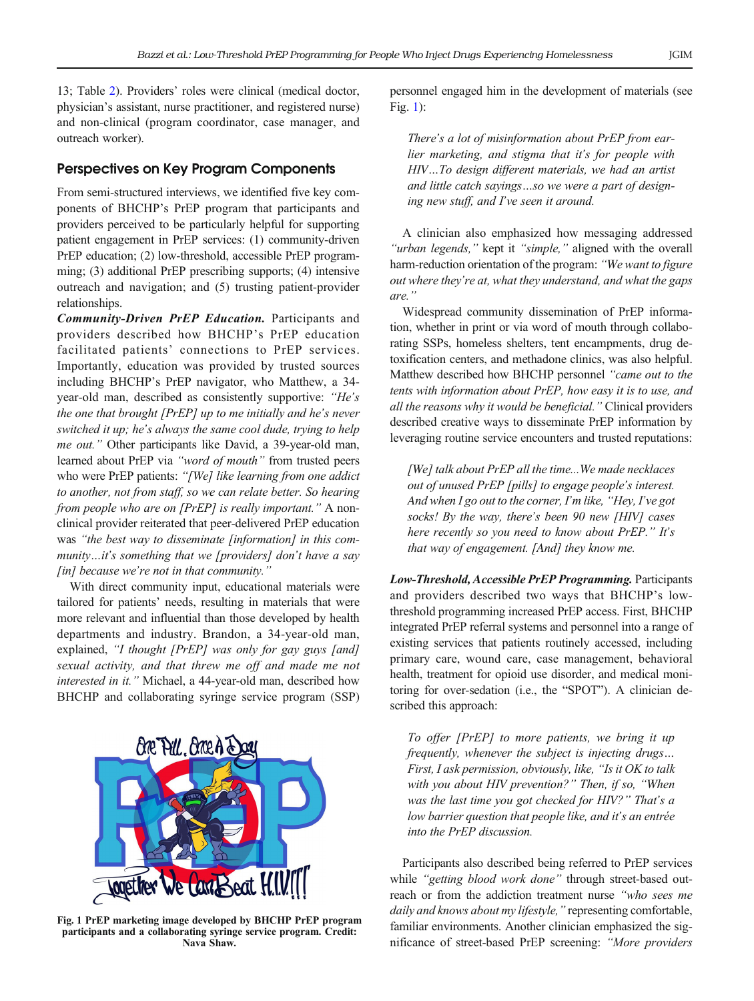<span id="page-3-0"></span>13; Table [2](#page-2-0)). Providers' roles were clinical (medical doctor, physician's assistant, nurse practitioner, and registered nurse) and non-clinical (program coordinator, case manager, and outreach worker).

## Perspectives on Key Program Components

From semi-structured interviews, we identified five key components of BHCHP's PrEP program that participants and providers perceived to be particularly helpful for supporting patient engagement in PrEP services: (1) community-driven PrEP education; (2) low-threshold, accessible PrEP programming; (3) additional PrEP prescribing supports; (4) intensive outreach and navigation; and (5) trusting patient-provider relationships.

Community-Driven PrEP Education. Participants and providers described how BHCHP's PrEP education facilitated patients' connections to PrEP services. Importantly, education was provided by trusted sources including BHCHP's PrEP navigator, who Matthew, a 34 year-old man, described as consistently supportive: "He's the one that brought [PrEP] up to me initially and he's never switched it up; he's always the same cool dude, trying to help me out." Other participants like David, a 39-year-old man, learned about PrEP via "word of mouth" from trusted peers who were PrEP patients: "[We] like learning from one addict to another, not from staff, so we can relate better. So hearing from people who are on [PrEP] is really important." A nonclinical provider reiterated that peer-delivered PrEP education was "the best way to disseminate [information] in this community...it's something that we [providers] don't have a say  $\lceil$ in $\lceil$  because we're not in that community."

With direct community input, educational materials were tailored for patients' needs, resulting in materials that were more relevant and influential than those developed by health departments and industry. Brandon, a 34-year-old man, explained, "I thought [PrEP] was only for gay guys [and] sexual activity, and that threw me off and made me not interested in it." Michael, a 44-year-old man, described how BHCHP and collaborating syringe service program (SSP)



Fig. 1 PrEP marketing image developed by BHCHP PrEP program participants and a collaborating syringe service program. Credit: Nava Shaw.

personnel engaged him in the development of materials (see Fig. 1):

There's a lot of misinformation about PrEP from earlier marketing, and stigma that it's for people with HIV…To design different materials, we had an artist and little catch sayings…so we were a part of designing new stuff, and I've seen it around.

A clinician also emphasized how messaging addressed "urban legends," kept it "simple," aligned with the overall harm-reduction orientation of the program: "We want to figure out where they're at, what they understand, and what the gaps are."

Widespread community dissemination of PrEP information, whether in print or via word of mouth through collaborating SSPs, homeless shelters, tent encampments, drug detoxification centers, and methadone clinics, was also helpful. Matthew described how BHCHP personnel "came out to the tents with information about PrEP, how easy it is to use, and all the reasons why it would be beneficial." Clinical providers described creative ways to disseminate PrEP information by leveraging routine service encounters and trusted reputations:

[We] talk about PrEP all the time...We made necklaces out of unused PrEP [pills] to engage people's interest. And when I go out to the corner, I'm like, "Hey, I've got socks! By the way, there's been 90 new [HIV] cases here recently so you need to know about PrEP." It's that way of engagement. [And] they know me.

Low-Threshold, Accessible PrEP Programming. Participants and providers described two ways that BHCHP's lowthreshold programming increased PrEP access. First, BHCHP integrated PrEP referral systems and personnel into a range of existing services that patients routinely accessed, including primary care, wound care, case management, behavioral health, treatment for opioid use disorder, and medical monitoring for over-sedation (i.e., the "SPOT"). A clinician described this approach:

To offer [PrEP] to more patients, we bring it up frequently, whenever the subject is injecting drugs… First, I ask permission, obviously, like, "Is it OK to talk with you about HIV prevention?" Then, if so, "When was the last time you got checked for HIV?" That's a low barrier question that people like, and it's an entrée into the PrEP discussion.

Participants also described being referred to PrEP services while "getting blood work done" through street-based outreach or from the addiction treatment nurse "who sees me daily and knows about my lifestyle," representing comfortable, familiar environments. Another clinician emphasized the significance of street-based PrEP screening: "More providers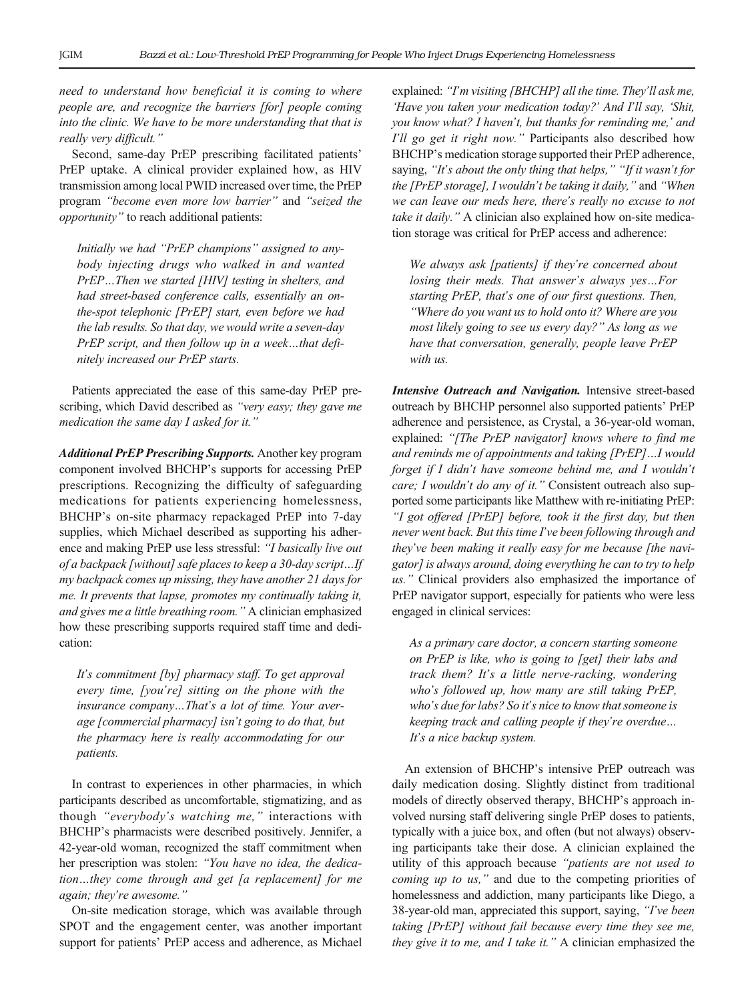need to understand how beneficial it is coming to where people are, and recognize the barriers [for] people coming into the clinic. We have to be more understanding that that is really very difficult."

Second, same-day PrEP prescribing facilitated patients' PrEP uptake. A clinical provider explained how, as HIV transmission among local PWID increased over time, the PrEP program "become even more low barrier" and "seized the opportunity" to reach additional patients:

Initially we had "PrEP champions" assigned to anybody injecting drugs who walked in and wanted PrEP…Then we started [HIV] testing in shelters, and had street-based conference calls, essentially an onthe-spot telephonic [PrEP] start, even before we had the lab results. So that day, we would write a seven-day PrEP script, and then follow up in a week…that definitely increased our PrEP starts.

Patients appreciated the ease of this same-day PrEP prescribing, which David described as "very easy; they gave me medication the same day I asked for it."

Additional PrEP Prescribing Supports. Another key program component involved BHCHP's supports for accessing PrEP prescriptions. Recognizing the difficulty of safeguarding medications for patients experiencing homelessness, BHCHP's on-site pharmacy repackaged PrEP into 7-day supplies, which Michael described as supporting his adherence and making PrEP use less stressful: "I basically live out of a backpack [without] safe places to keep a 30-day script…If my backpack comes up missing, they have another 21 days for me. It prevents that lapse, promotes my continually taking it, and gives me a little breathing room." A clinician emphasized how these prescribing supports required staff time and dedication:

It's commitment [by] pharmacy staff. To get approval every time, [you're] sitting on the phone with the insurance company…That's a lot of time. Your average [commercial pharmacy] isn't going to do that, but the pharmacy here is really accommodating for our patients.

In contrast to experiences in other pharmacies, in which participants described as uncomfortable, stigmatizing, and as though "everybody's watching me," interactions with BHCHP's pharmacists were described positively. Jennifer, a 42-year-old woman, recognized the staff commitment when her prescription was stolen: "You have no idea, the dedication…they come through and get [a replacement] for me again; they're awesome."

On-site medication storage, which was available through SPOT and the engagement center, was another important support for patients' PrEP access and adherence, as Michael

explained: "I'm visiting [BHCHP] all the time. They'll ask me, 'Have you taken your medication today?' And I'll say, 'Shit, you know what? I haven't, but thanks for reminding me,' and I'll go get it right now." Participants also described how BHCHP's medication storage supported their PrEP adherence, saying, "It's about the only thing that helps," "If it wasn't for the [PrEP storage], I wouldn't be taking it daily," and "When we can leave our meds here, there's really no excuse to not take it daily." A clinician also explained how on-site medication storage was critical for PrEP access and adherence:

We always ask [patients] if they're concerned about losing their meds. That answer's always yes…For starting PrEP, that's one of our first questions. Then, "Where do you want us to hold onto it? Where are you most likely going to see us every day?" As long as we have that conversation, generally, people leave PrEP with us.

Intensive Outreach and Navigation. Intensive street-based outreach by BHCHP personnel also supported patients' PrEP adherence and persistence, as Crystal, a 36-year-old woman, explained: "[The PrEP navigator] knows where to find me and reminds me of appointments and taking [PrEP]…I would forget if I didn't have someone behind me, and I wouldn't care; I wouldn't do any of it." Consistent outreach also supported some participants like Matthew with re-initiating PrEP: "I got offered [PrEP] before, took it the first day, but then never went back. But this time I've been following through and they've been making it really easy for me because [the navigator] is always around, doing everything he can to try to help us." Clinical providers also emphasized the importance of PrEP navigator support, especially for patients who were less engaged in clinical services:

As a primary care doctor, a concern starting someone on PrEP is like, who is going to [get] their labs and track them? It's a little nerve-racking, wondering who's followed up, how many are still taking PrEP, who's due for labs? So it's nice to know that someone is keeping track and calling people if they're overdue… It's a nice backup system.

An extension of BHCHP's intensive PrEP outreach was daily medication dosing. Slightly distinct from traditional models of directly observed therapy, BHCHP's approach involved nursing staff delivering single PrEP doses to patients, typically with a juice box, and often (but not always) observing participants take their dose. A clinician explained the utility of this approach because "patients are not used to coming up to us," and due to the competing priorities of homelessness and addiction, many participants like Diego, a 38-year-old man, appreciated this support, saying, "I've been taking [PrEP] without fail because every time they see me, they give it to me, and I take it." A clinician emphasized the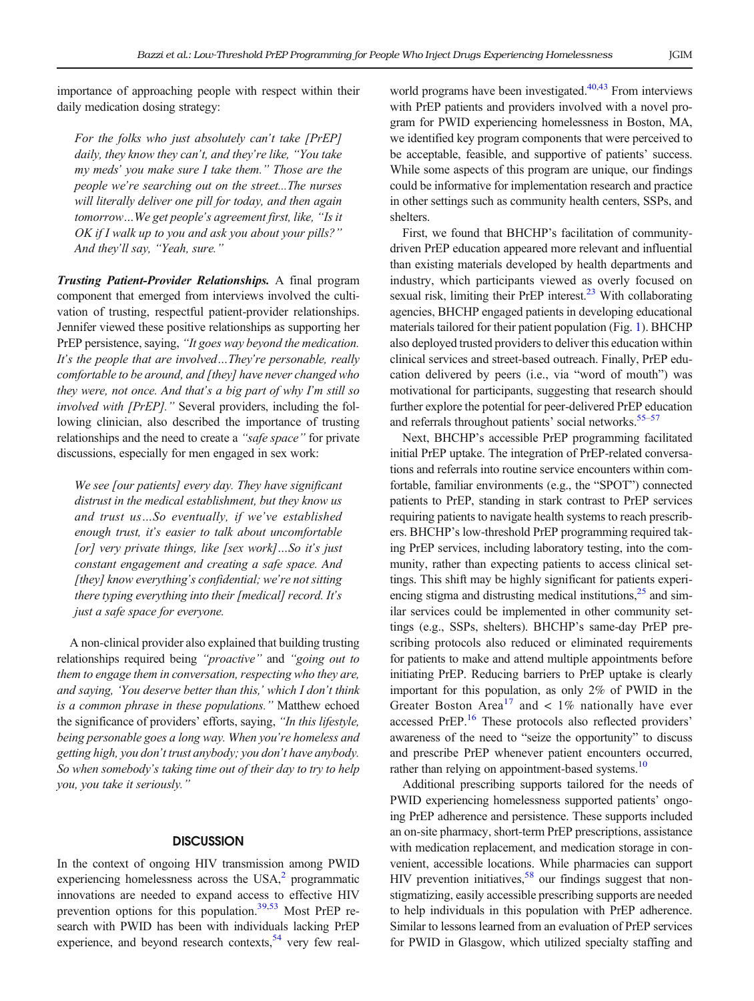importance of approaching people with respect within their daily medication dosing strategy:

For the folks who just absolutely can't take [PrEP] daily, they know they can't, and they're like, "You take my meds' you make sure I take them." Those are the people we're searching out on the street...The nurses will literally deliver one pill for today, and then again tomorrow…We get people's agreement first, like, "Is it OK if I walk up to you and ask you about your pills?" And they'll say, "Yeah, sure."

Trusting Patient-Provider Relationships. A final program component that emerged from interviews involved the cultivation of trusting, respectful patient-provider relationships. Jennifer viewed these positive relationships as supporting her PrEP persistence, saying, "It goes way beyond the medication. It's the people that are involved…They're personable, really comfortable to be around, and [they] have never changed who they were, not once. And that's a big part of why I'm still so involved with [PrEP]." Several providers, including the following clinician, also described the importance of trusting relationships and the need to create a "safe space" for private discussions, especially for men engaged in sex work:

We see [our patients] every day. They have significant distrust in the medical establishment, but they know us and trust us…So eventually, if we've established enough trust, it's easier to talk about uncomfortable [or] very private things, like [sex work]...So it's just constant engagement and creating a safe space. And [they] know everything's confidential; we're not sitting there typing everything into their [medical] record. It's just a safe space for everyone.

A non-clinical provider also explained that building trusting relationships required being "proactive" and "going out to them to engage them in conversation, respecting who they are, and saying, 'You deserve better than this,' which I don't think is a common phrase in these populations." Matthew echoed the significance of providers' efforts, saying, "In this lifestyle, being personable goes a long way. When you're homeless and getting high, you don't trust anybody; you don't have anybody. So when somebody's taking time out of their day to try to help you, you take it seriously."

## **DISCUSSION**

In the context of ongoing HIV transmission among PWID experiencing homelessness across the USA, $<sup>2</sup>$  programmatic</sup> innovations are needed to expand access to effective HIV prevention options for this population.<sup>39,[53](#page-8-0)</sup> Most PrEP research with PWID has been with individuals lacking PrEP experience, and beyond research contexts, $54$  very few realworld programs have been investigated. $40,43$  From interviews with PrEP patients and providers involved with a novel program for PWID experiencing homelessness in Boston, MA, we identified key program components that were perceived to be acceptable, feasible, and supportive of patients' success. While some aspects of this program are unique, our findings could be informative for implementation research and practice in other settings such as community health centers, SSPs, and shelters.

First, we found that BHCHP's facilitation of communitydriven PrEP education appeared more relevant and influential than existing materials developed by health departments and industry, which participants viewed as overly focused on sexual risk, limiting their PrEP interest. $^{23}$  With collaborating agencies, BHCHP engaged patients in developing educational materials tailored for their patient population (Fig. [1\)](#page-3-0). BHCHP also deployed trusted providers to deliver this education within clinical services and street-based outreach. Finally, PrEP education delivered by peers (i.e., via "word of mouth") was motivational for participants, suggesting that research should further explore the potential for peer-delivered PrEP education and referrals throughout patients' social networks.<sup>55–[57](#page-8-0)</sup>

Next, BHCHP's accessible PrEP programming facilitated initial PrEP uptake. The integration of PrEP-related conversations and referrals into routine service encounters within comfortable, familiar environments (e.g., the "SPOT") connected patients to PrEP, standing in stark contrast to PrEP services requiring patients to navigate health systems to reach prescribers. BHCHP's low-threshold PrEP programming required taking PrEP services, including laboratory testing, into the community, rather than expecting patients to access clinical settings. This shift may be highly significant for patients experiencing stigma and distrusting medical institutions, $^{25}$  and similar services could be implemented in other community settings (e.g., SSPs, shelters). BHCHP's same-day PrEP prescribing protocols also reduced or eliminated requirements for patients to make and attend multiple appointments before initiating PrEP. Reducing barriers to PrEP uptake is clearly important for this population, as only 2% of PWID in the Greater Boston Area<sup>[17](#page-7-0)</sup> and < 1% nationally have ever accessed PrEP.<sup>16</sup> These protocols also reflected providers' awareness of the need to "seize the opportunity" to discuss and prescribe PrEP whenever patient encounters occurred, rather than relying on appointment-based systems.<sup>10</sup>

Additional prescribing supports tailored for the needs of PWID experiencing homelessness supported patients' ongoing PrEP adherence and persistence. These supports included an on-site pharmacy, short-term PrEP prescriptions, assistance with medication replacement, and medication storage in convenient, accessible locations. While pharmacies can support HIV prevention initiatives,  $58$  our findings suggest that nonstigmatizing, easily accessible prescribing supports are needed to help individuals in this population with PrEP adherence. Similar to lessons learned from an evaluation of PrEP services for PWID in Glasgow, which utilized specialty staffing and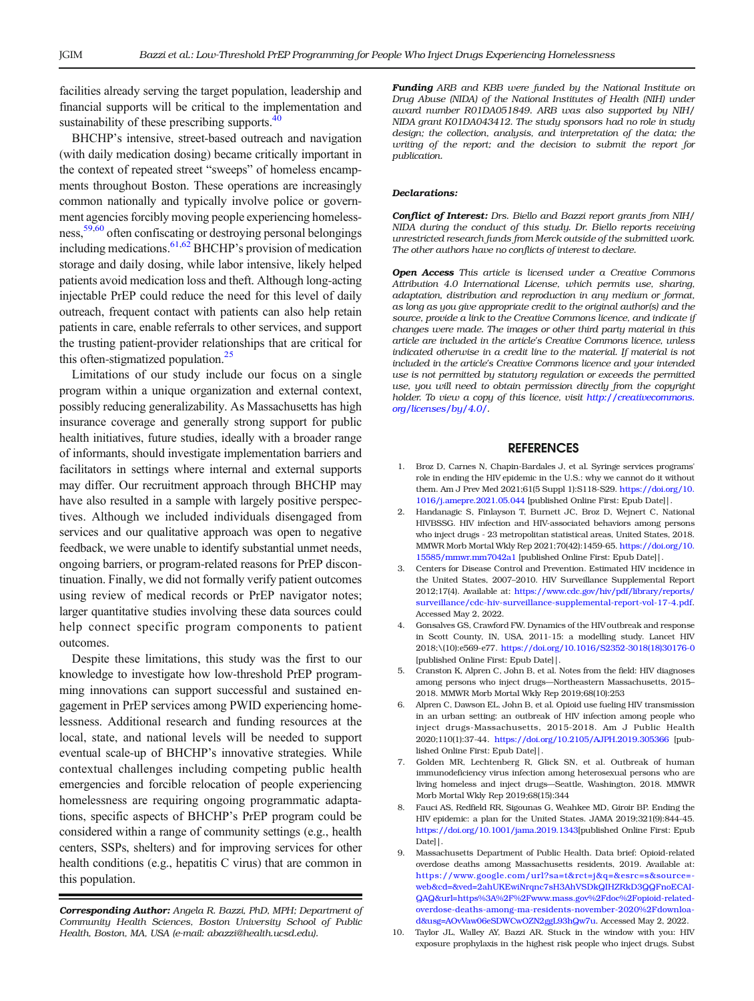<span id="page-6-0"></span>facilities already serving the target population, leadership and financial supports will be critical to the implementation and sustainability of these prescribing supports.<sup>40</sup>

BHCHP's intensive, street-based outreach and navigation (with daily medication dosing) became critically important in the context of repeated street "sweeps" of homeless encampments throughout Boston. These operations are increasingly common nationally and typically involve police or government agencies forcibly moving people experiencing homelessness,[59,60](#page-8-0) often confiscating or destroying personal belongings including medications.  $61,62$  BHCHP's provision of medication storage and daily dosing, while labor intensive, likely helped patients avoid medication loss and theft. Although long-acting injectable PrEP could reduce the need for this level of daily outreach, frequent contact with patients can also help retain patients in care, enable referrals to other services, and support the trusting patient-provider relationships that are critical for this often-stigmatized population. $25$ 

Limitations of our study include our focus on a single program within a unique organization and external context, possibly reducing generalizability. As Massachusetts has high insurance coverage and generally strong support for public health initiatives, future studies, ideally with a broader range of informants, should investigate implementation barriers and facilitators in settings where internal and external supports may differ. Our recruitment approach through BHCHP may have also resulted in a sample with largely positive perspectives. Although we included individuals disengaged from services and our qualitative approach was open to negative feedback, we were unable to identify substantial unmet needs, ongoing barriers, or program-related reasons for PrEP discontinuation. Finally, we did not formally verify patient outcomes using review of medical records or PrEP navigator notes; larger quantitative studies involving these data sources could help connect specific program components to patient outcomes.

Despite these limitations, this study was the first to our knowledge to investigate how low-threshold PrEP programming innovations can support successful and sustained engagement in PrEP services among PWID experiencing homelessness. Additional research and funding resources at the local, state, and national levels will be needed to support eventual scale-up of BHCHP's innovative strategies. While contextual challenges including competing public health emergencies and forcible relocation of people experiencing homelessness are requiring ongoing programmatic adaptations, specific aspects of BHCHP's PrEP program could be considered within a range of community settings (e.g., health centers, SSPs, shelters) and for improving services for other health conditions (e.g., hepatitis C virus) that are common in this population.

Corresponding Author: Angela R. Bazzi, PhD, MPH; Department of Community Health Sciences, Boston University School of Public Health, Boston, MA, USA (e-mail: abazzi@health.ucsd.edu).

Funding ARB and KBB were funded by the National Institute on Drug Abuse (NIDA) of the National Institutes of Health (NIH) under award number R01DA051849. ARB was also supported by NIH/ NIDA grant K01DA043412. The study sponsors had no role in study design; the collection, analysis, and interpretation of the data; the writing of the report; and the decision to submit the report for publication.

#### Declarations:

Conflict of Interest: Drs. Biello and Bazzi report grants from NIH/ NIDA during the conduct of this study. Dr. Biello reports receiving unrestricted research funds from Merck outside of the submitted work. The other authors have no conflicts of interest to declare.

**Open Access** This article is licensed under a Creative Commons Attribution 4.0 International License, which permits use, sharing, adaptation, distribution and reproduction in any medium or format, as long as you give appropriate credit to the original author(s) and the source, provide a link to the Creative Commons licence, and indicate if changes were made. The images or other third party material in this article are included in the article's Creative Commons licence, unless indicated otherwise in a credit line to the material. If material is not included in the article's Creative Commons licence and your intended use is not permitted by statutory regulation or exceeds the permitted use, you will need to obtain permission directly from the copyright holder. To view a copy of this licence, visit http://creativecommons. org/licenses/by/4.0/.

#### **REFERENCES**

- 1. Broz D, Carnes N, Chapin-Bardales J, et al. Syringe services programs' role in ending the HIV epidemic in the U.S.: why we cannot do it without them. Am J Prev Med 2021;61(5 Suppl 1):S118-S29. [https://doi.org/10.](http://dx.doi.org/10.1016/j.amepre.2021.05.044) [1016/j.amepre.2021.05.044](http://dx.doi.org/10.1016/j.amepre.2021.05.044) [published Online First: Epub Date]|.
- 2. Handanagic S, Finlayson T, Burnett JC, Broz D, Wejnert C, National HIVBSSG. HIV infection and HIV-associated behaviors among persons who inject drugs - 23 metropolitan statistical areas, United States, 2018. MMWR Morb Mortal Wkly Rep 2021;70(42):1459-65. [https://doi.org/10.](http://dx.doi.org/10.15585/mmwr.mm7042a1) [15585/mmwr.mm7042a1](http://dx.doi.org/10.15585/mmwr.mm7042a1) [published Online First: Epub Date]|.
- 3. Centers for Disease Control and Prevention. Estimated HIV incidence in the United States, 2007–2010. HIV Surveillance Supplemental Report 2012;17(4). Available at: [https://www.cdc.gov/hiv/pdf/library/reports/](http://dx.doi.org/https://www.cdc.gov/hiv/pdf/library/reports/surveillance/cdc-hiv-surveillance-supplemental-report-vol-17-4.pdf) [surveillance/cdc-hiv-surveillance-supplemental-report-vol-17-4.pdf.](http://dx.doi.org/https://www.cdc.gov/hiv/pdf/library/reports/surveillance/cdc-hiv-surveillance-supplemental-report-vol-17-4.pdf) Accessed May 2, 2022.
- 4. Gonsalves GS, Crawford FW. Dynamics of the HIV outbreak and response in Scott County, IN, USA, 2011-15: a modelling study. Lancet HIV 2018;\(10):e569-e77. [https://doi.org/10.1016/S2352-3018\(18\)30176-0](http://dx.doi.org/10.1016/S2352-3018(18)30176-0) [published Online First: Epub Date]|.
- 5. Cranston K, Alpren C, John B, et al. Notes from the field: HIV diagnoses among persons who inject drugs—Northeastern Massachusetts, 2015– 2018. MMWR Morb Mortal Wkly Rep 2019;68(10):253
- 6. Alpren C, Dawson EL, John B, et al. Opioid use fueling HIV transmission in an urban setting: an outbreak of HIV infection among people who inject drugs-Massachusetts, 2015-2018. Am J Public Health 2020;110(1):37-44. [https://doi.org/10.2105/AJPH.2019.305366](http://dx.doi.org/10.2105/AJPH.2019.305366) [published Online First: Epub Date]|.
- 7. Golden MR, Lechtenberg R, Glick SN, et al. Outbreak of human immunodeficiency virus infection among heterosexual persons who are living homeless and inject drugs—Seattle, Washington, 2018. MMWR Morb Mortal Wkly Rep 2019;68(15):344
- 8. Fauci AS, Redfield RR, Sigounas G, Weahkee MD, Giroir BP. Ending the HIV epidemic: a plan for the United States. JAMA 2019;321(9):844-45. [https://doi.org/10.1001/jama.2019.1343\[](http://dx.doi.org/10.1001/jama.2019.1343)published Online First: Epub Date]|.
- 9. Massachusetts Department of Public Health. Data brief: Opioid-related overdose deaths among Massachusetts residents, 2019. Available at: [https://www.google.com/url?sa=t&rct=j&q=&esrc=s&source=](http://dx.doi.org/https://www.google.com/url?sa=t&rct=j&q=&esrc=s&source=web&cd=&ved=2ahUKEwiNrqnc7sH3AhVSDkQIHZRkD3QQFnoECAIQAQ&url=https%3A%2F%2Fwww.mass.gov%2Fdoc%2Fopioid-related-overdose-deaths-among-ma-residents-november-2020%2Fdownload&usg=AOvVaw06eSDWCwOZN2ggL93hQw7u) [web&cd=&ved=2ahUKEwiNrqnc7sH3AhVSDkQIHZRkD3QQFnoECAI-](http://dx.doi.org/https://www.google.com/url?sa=t&rct=j&q=&esrc=s&source=web&cd=&ved=2ahUKEwiNrqnc7sH3AhVSDkQIHZRkD3QQFnoECAIQAQ&url=https%3A%2F%2Fwww.mass.gov%2Fdoc%2Fopioid-related-overdose-deaths-among-ma-residents-november-2020%2Fdownload&usg=AOvVaw06eSDWCwOZN2ggL93hQw7u)[QAQ&url=https%3A%2F%2Fwww.mass.gov%2Fdoc%2Fopioid-related](http://dx.doi.org/https://www.google.com/url?sa=t&rct=j&q=&esrc=s&source=web&cd=&ved=2ahUKEwiNrqnc7sH3AhVSDkQIHZRkD3QQFnoECAIQAQ&url=https%3A%2F%2Fwww.mass.gov%2Fdoc%2Fopioid-related-overdose-deaths-among-ma-residents-november-2020%2Fdownload&usg=AOvVaw06eSDWCwOZN2ggL93hQw7u)[overdose-deaths-among-ma-residents-november-2020%2Fdownloa](http://dx.doi.org/https://www.google.com/url?sa=t&rct=j&q=&esrc=s&source=web&cd=&ved=2ahUKEwiNrqnc7sH3AhVSDkQIHZRkD3QQFnoECAIQAQ&url=https%3A%2F%2Fwww.mass.gov%2Fdoc%2Fopioid-related-overdose-deaths-among-ma-residents-november-2020%2Fdownload&usg=AOvVaw06eSDWCwOZN2ggL93hQw7u)[d&usg=AOvVaw06eSDWCwOZN2ggL93hQw7u.](http://dx.doi.org/https://www.google.com/url?sa=t&rct=j&q=&esrc=s&source=web&cd=&ved=2ahUKEwiNrqnc7sH3AhVSDkQIHZRkD3QQFnoECAIQAQ&url=https%3A%2F%2Fwww.mass.gov%2Fdoc%2Fopioid-related-overdose-deaths-among-ma-residents-november-2020%2Fdownload&usg=AOvVaw06eSDWCwOZN2ggL93hQw7u) Accessed May 2, 2022.
- 10. Taylor JL, Walley AY, Bazzi AR. Stuck in the window with you: HIV exposure prophylaxis in the highest risk people who inject drugs. Subst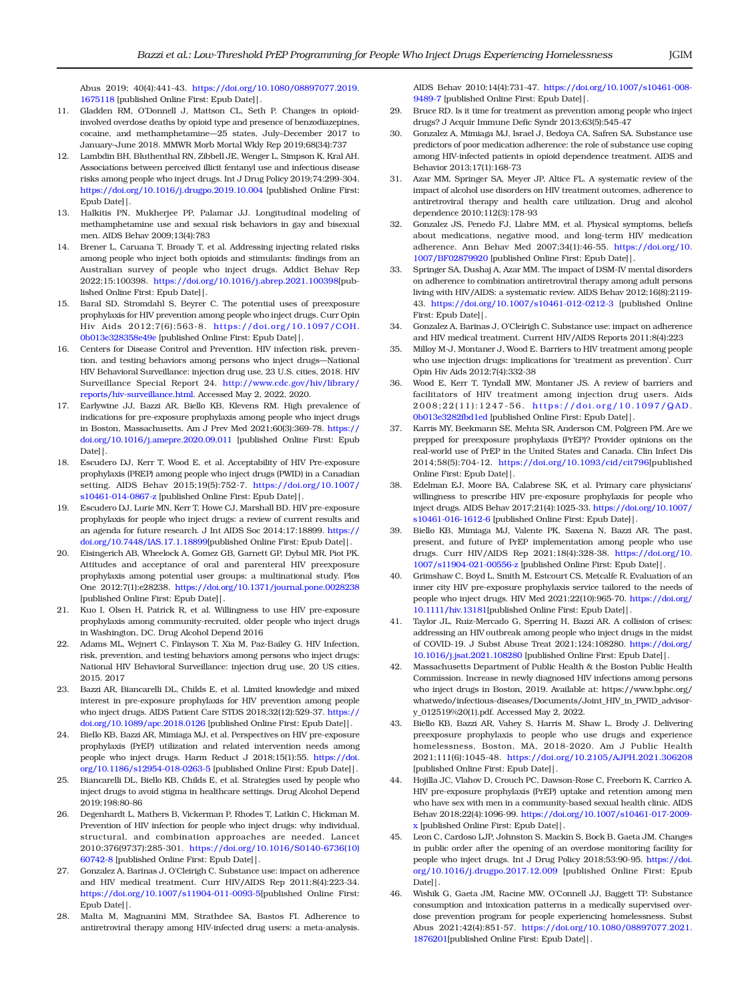<span id="page-7-0"></span>Abus 2019; 40(4):441-43. [https://doi.org/10.1080/08897077.2019.](http://dx.doi.org/10.1080/08897077.2019.1675118) [1675118](http://dx.doi.org/10.1080/08897077.2019.1675118) [published Online First: Epub Date]|.

- 11. Gladden RM, O'Donnell J, Mattson CL, Seth P. Changes in opioidinvolved overdose deaths by opioid type and presence of benzodiazepines, cocaine, and methamphetamine—25 states, July–December 2017 to January–June 2018. MMWR Morb Mortal Wkly Rep 2019;68(34):737
- 12. Lambdin BH, Bluthenthal RN, Zibbell JE, Wenger L, Simpson K, Kral AH. Associations between perceived illicit fentanyl use and infectious disease risks among people who inject drugs. Int J Drug Policy 2019;74:299-304. [https://doi.org/10.1016/j.drugpo.2019.10.004](http://dx.doi.org/10.1016/j.drugpo.2019.10.004) [published Online First: Epub Date]|.
- 13. Halkitis PN, Mukherjee PP, Palamar JJ. Longitudinal modeling of methamphetamine use and sexual risk behaviors in gay and bisexual men. AIDS Behav 2009;13(4):783
- 14. Brener L, Caruana T, Broady T, et al. Addressing injecting related risks among people who inject both opioids and stimulants: findings from an Australian survey of people who inject drugs. Addict Behav Rep 2022;15:100398. [https://doi.org/10.1016/j.abrep.2021.100398](http://dx.doi.org/10.1016/j.abrep.2021.100398)[published Online First: Epub Date]|.
- 15. Baral SD, Stromdahl S, Beyrer C. The potential uses of preexposure prophylaxis for HIV prevention among people who inject drugs. Curr Opin Hiv Aids 2012;7(6):563-8. [https://doi.org/10.1097/COH.](http://dx.doi.org/10.1097/COH.0b013e328358e49e) [0b013e328358e49e](http://dx.doi.org/10.1097/COH.0b013e328358e49e) [published Online First: Epub Date]|.
- 16. Centers for Disease Control and Prevention. HIV infection risk, prevention, and testing behaviors among persons who inject drugs—National HIV Behavioral Surveillance: injection drug use, 23 U.S. cities, 2018. HIV Surveillance Special Report 24. [http://www.cdc.gov/hiv/library/](http://dx.doi.org/http://www.cdc.gov/hiv/library/reports/hiv-surveillance.html) [reports/hiv-surveillance.html.](http://dx.doi.org/http://www.cdc.gov/hiv/library/reports/hiv-surveillance.html) Accessed May 2, 2022, 2020.
- 17. Earlywine JJ, Bazzi AR, Biello KB, Klevens RM. High prevalence of indications for pre-exposure prophylaxis among people who inject drugs in Boston, Massachusetts. Am J Prev Med 2021;60(3):369-78. [https://](http://dx.doi.org/10.1016/j.amepre.2020.09.011) [doi.org/10.1016/j.amepre.2020.09.011](http://dx.doi.org/10.1016/j.amepre.2020.09.011) [published Online First: Epub Date]|.
- 18. Escudero DJ, Kerr T, Wood E, et al. Acceptability of HIV Pre-exposure prophylaxis (PREP) among people who inject drugs (PWID) in a Canadian setting. AIDS Behav 2015;19(5):752-7. [https://doi.org/10.1007/](http://dx.doi.org/10.1007/s10461-014-0867-z) [s10461-014-0867-z](http://dx.doi.org/10.1007/s10461-014-0867-z) [published Online First: Epub Date]|.
- 19. Escudero DJ, Lurie MN, Kerr T, Howe CJ, Marshall BD. HIV pre-exposure prophylaxis for people who inject drugs: a review of current results and an agenda for future research. J Int AIDS Soc 2014;17:18899. [https://](http://dx.doi.org/10.7448/IAS.17.1.18899) [doi.org/10.7448/IAS.17.1.18899\[](http://dx.doi.org/10.7448/IAS.17.1.18899)published Online First: Epub Date]|.
- Eisingerich AB, Wheelock A, Gomez GB, Garnett GP, Dybul MR, Piot PK. Attitudes and acceptance of oral and parenteral HIV preexposure prophylaxis among potential user groups: a multinational study. Plos One 2012;7(1):e28238. [https://doi.org/10.1371/journal.pone.0028238](http://dx.doi.org/10.1371/journal.pone.0028238) [published Online First: Epub Date]|.
- 21. Kuo I, Olsen H, Patrick R, et al. Willingness to use HIV pre-exposure prophylaxis among community-recruited, older people who inject drugs in Washington, DC. Drug Alcohol Depend 2016
- 22. Adams ML, Wejnert C, Finlayson T, Xia M, Paz-Bailey G. HIV Infection, risk, prevention, and testing behaviors among persons who inject drugs: National HIV Behavioral Surveillance: injection drug use, 20 US cities, 2015. 2017
- 23. Bazzi AR, Biancarelli DL, Childs E, et al. Limited knowledge and mixed interest in pre-exposure prophylaxis for HIV prevention among people who inject drugs. AIDS Patient Care STDS 2018;32(12):529-37. [https://](http://dx.doi.org/10.1089/apc.2018.0126) [doi.org/10.1089/apc.2018.0126](http://dx.doi.org/10.1089/apc.2018.0126) [published Online First: Epub Date]|.
- 24. Biello KB, Bazzi AR, Mimiaga MJ, et al. Perspectives on HIV pre-exposure prophylaxis (PrEP) utilization and related intervention needs among people who inject drugs. Harm Reduct J 2018;15(1):55. [https://doi.](http://dx.doi.org/10.1186/s12954-018-0263-5) [org/10.1186/s12954-018-0263-5](http://dx.doi.org/10.1186/s12954-018-0263-5) [published Online First: Epub Date]|.
- 25. Biancarelli DL, Biello KB, Childs E, et al. Strategies used by people who inject drugs to avoid stigma in healthcare settings. Drug Alcohol Depend 2019;198:80-86
- 26. Degenhardt L, Mathers B, Vickerman P, Rhodes T, Latkin C, Hickman M. Prevention of HIV infection for people who inject drugs: why individual, structural, and combination approaches are needed. Lancet 2010;376(9737):285-301. [https://doi.org/10.1016/S0140-6736\(10\)](http://dx.doi.org/10.1016/S0140-6736(10)60742-8) [60742-8](http://dx.doi.org/10.1016/S0140-6736(10)60742-8) [published Online First: Epub Date]|.
- 27. Gonzalez A, Barinas J, O'Cleirigh C. Substance use: impact on adherence and HIV medical treatment. Curr HIV/AIDS Rep 2011;8(4):223-34. [https://doi.org/10.1007/s11904-011-0093-5](http://dx.doi.org/10.1007/s11904-011-0093-5)[published Online First: Epub Date]|.
- 28. Malta M, Magnanini MM, Strathdee SA, Bastos FI. Adherence to antiretroviral therapy among HIV-infected drug users: a meta-analysis.

AIDS Behav 2010;14(4):731-47. [https://doi.org/10.1007/s10461-008-](http://dx.doi.org/10.1007/s10461-008-9489-7) [9489-7](http://dx.doi.org/10.1007/s10461-008-9489-7) [published Online First: Epub Date]|.

- 29. Bruce RD. Is it time for treatment as prevention among people who inject drugs? J Acquir Immune Defic Syndr 2013;63(5):545-47
- 30. Gonzalez A, Mimiaga MJ, Israel J, Bedoya CA, Safren SA. Substance use predictors of poor medication adherence: the role of substance use coping among HIV-infected patients in opioid dependence treatment. AIDS and Behavior 2013;17(1):168-73
- 31. Azar MM, Springer SA, Meyer JP, Altice FL. A systematic review of the impact of alcohol use disorders on HIV treatment outcomes, adherence to antiretroviral therapy and health care utilization. Drug and alcohol dependence 2010;112(3):178-93
- 32. Gonzalez JS, Penedo FJ, Llabre MM, et al. Physical symptoms, beliefs about medications, negative mood, and long-term HIV medication adherence. Ann Behav Med 2007;34(1):46-55. [https://doi.org/10.](http://dx.doi.org/10.1007/BF02879920) [1007/BF02879920](http://dx.doi.org/10.1007/BF02879920) [published Online First: Epub Date]|.
- 33. Springer SA, Dushaj A, Azar MM. The impact of DSM-IV mental disorders on adherence to combination antiretroviral therapy among adult persons living with HIV/AIDS: a systematic review. AIDS Behav 2012;16(8):2119- 43. [https://doi.org/10.1007/s10461-012-0212-3](http://dx.doi.org/10.1007/s10461-012-0212-3) [published Online First: Epub Date]|.
- 34. Gonzalez A, Barinas J, O'Cleirigh C. Substance use: impact on adherence and HIV medical treatment. Current HIV/AIDS Reports 2011;8(4):223
- 35. Milloy M-J, Montaner J, Wood E. Barriers to HIV treatment among people who use injection drugs: implications for 'treatment as prevention'. Curr Opin Hiv Aids 2012;7(4):332-38
- 36. Wood E, Kerr T, Tyndall MW, Montaner JS. A review of barriers and facilitators of HIV treatment among injection drug users. Aids 2008;22(11):1247-56. [https://doi.org/10.1097/QAD.](http://dx.doi.org/10.1097/QAD.0b013e3282fbd1ed) [0b013e3282fbd1ed](http://dx.doi.org/10.1097/QAD.0b013e3282fbd1ed) [published Online First: Epub Date]|.
- 37. Karris MY, Beekmann SE, Mehta SR, Anderson CM, Polgreen PM. Are we prepped for preexposure prophylaxis (PrEP)? Provider opinions on the real-world use of PrEP in the United States and Canada. Clin Infect Dis 2014;58(5):704-12. [https://doi.org/10.1093/cid/cit796\[](http://dx.doi.org/10.1093/cid/cit796)published Online First: Epub Date]|.
- 38. Edelman EJ, Moore BA, Calabrese SK, et al. Primary care physicians' willingness to prescribe HIV pre-exposure prophylaxis for people who inject drugs. AIDS Behav 2017;21(4):1025-33. [https://doi.org/10.1007/](http://dx.doi.org/10.1007/s10461-016-1612-6) [s10461-016-1612-6](http://dx.doi.org/10.1007/s10461-016-1612-6) [published Online First: Epub Date]|.
- 39. Biello KB, Mimiaga MJ, Valente PK, Saxena N, Bazzi AR. The past, present, and future of PrEP implementation among people who use drugs. Curr HIV/AIDS Rep 2021;18(4):328-38. [https://doi.org/10.](http://dx.doi.org/10.1007/s11904-021-00556-z) [1007/s11904-021-00556-z](http://dx.doi.org/10.1007/s11904-021-00556-z) [published Online First: Epub Date]|.
- 40. Grimshaw C, Boyd L, Smith M, Estcourt CS, Metcalfe R. Evaluation of an inner city HIV pre-exposure prophylaxis service tailored to the needs of people who inject drugs. HIV Med 2021;22(10):965-70. [https://doi.org/](http://dx.doi.org/10.1111/hiv.13181) [10.1111/hiv.13181\[](http://dx.doi.org/10.1111/hiv.13181)published Online First: Epub Date]|.
- 41. Taylor JL, Ruiz-Mercado G, Sperring H, Bazzi AR. A collision of crises: addressing an HIV outbreak among people who inject drugs in the midst of COVID-19. J Subst Abuse Treat 2021;124:108280. [https://doi.org/](http://dx.doi.org/10.1016/j.jsat.2021.108280) [10.1016/j.jsat.2021.108280](http://dx.doi.org/10.1016/j.jsat.2021.108280) [published Online First: Epub Date]|.
- 42. Massachusetts Department of Public Health & the Boston Public Health Commission. Increase in newly diagnosed HIV infections among persons who inject drugs in Boston, 2019. Available at: https://www.bphc.org/ whatwedo/infectious-diseases/Documents/Joint\_HIV\_in\_PWID\_advisory\_012519%20(1).pdf. Accessed May 2, 2022.
- 43. Biello KB, Bazzi AR, Vahey S, Harris M, Shaw L, Brody J. Delivering preexposure prophylaxis to people who use drugs and experience homelessness, Boston, MA, 2018-2020. Am J Public Health 2021;111(6):1045-48. [https://doi.org/10.2105/AJPH.2021.306208](http://dx.doi.org/10.2105/AJPH.2021.306208) [published Online First: Epub Date]|.
- 44. Hojilla JC, Vlahov D, Crouch PC, Dawson-Rose C, Freeborn K, Carrico A. HIV pre-exposure prophylaxis (PrEP) uptake and retention among men who have sex with men in a community-based sexual health clinic. AIDS Behav 2018;22(4):1096-99. [https://doi.org/10.1007/s10461-017-2009](http://dx.doi.org/10.1007/s10461-017-2009-x) [x](http://dx.doi.org/10.1007/s10461-017-2009-x) [published Online First: Epub Date]|.
- 45. Leon C, Cardoso LJP, Johnston S, Mackin S, Bock B, Gaeta JM. Changes in public order after the opening of an overdose monitoring facility for people who inject drugs. Int J Drug Policy 2018;53:90-95. [https://doi.](http://dx.doi.org/10.1016/j.drugpo.2017.12.009) [org/10.1016/j.drugpo.2017.12.009](http://dx.doi.org/10.1016/j.drugpo.2017.12.009) [published Online First: Epub Date]|.
- 46. Wishik G, Gaeta JM, Racine MW, O'Connell JJ, Baggett TP. Substance consumption and intoxication patterns in a medically supervised overdose prevention program for people experiencing homelessness. Subst Abus 2021;42(4):851-57. [https://doi.org/10.1080/08897077.2021.](http://dx.doi.org/10.1080/08897077.2021.1876201) [1876201\[](http://dx.doi.org/10.1080/08897077.2021.1876201)published Online First: Epub Date]|.